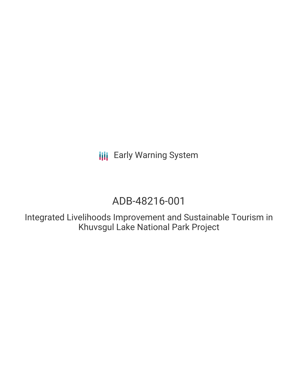**III** Early Warning System

# ADB-48216-001

Integrated Livelihoods Improvement and Sustainable Tourism in Khuvsgul Lake National Park Project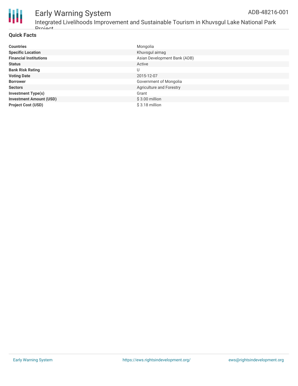

# Early Warning System

# Integrated Livelihoods Improvement and Sustainable Tourism in Khuvsgul Lake National Park **Droject**

# **Quick Facts**

| <b>Countries</b>               | Mongolia                        |
|--------------------------------|---------------------------------|
| <b>Specific Location</b>       | Khuvsgul aimag                  |
| <b>Financial Institutions</b>  | Asian Development Bank (ADB)    |
| <b>Status</b>                  | Active                          |
| <b>Bank Risk Rating</b>        | U                               |
| <b>Voting Date</b>             | 2015-12-07                      |
| <b>Borrower</b>                | Government of Mongolia          |
| <b>Sectors</b>                 | <b>Agriculture and Forestry</b> |
| <b>Investment Type(s)</b>      | Grant                           |
| <b>Investment Amount (USD)</b> | $$3.00$ million                 |
| <b>Project Cost (USD)</b>      | \$3.18 million                  |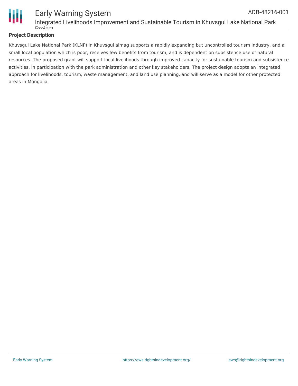

## **Project Description**

Khuvsgul Lake National Park (KLNP) in Khuvsgul aimag supports a rapidly expanding but uncontrolled tourism industry, and a small local population which is poor, receives few benefits from tourism, and is dependent on subsistence use of natural resources. The proposed grant will support local livelihoods through improved capacity for sustainable tourism and subsistence activities, in participation with the park administration and other key stakeholders. The project design adopts an integrated approach for livelihoods, tourism, waste management, and land use planning, and will serve as a model for other protected areas in Mongolia.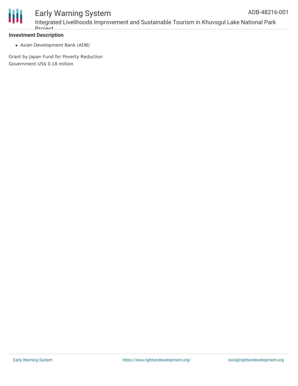

#### **Investment Description**

Asian Development Bank (ADB)

Grant by Japan Fund for Poverty Reduction Government US\$ 0.18 million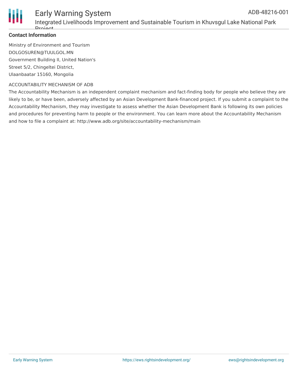

### **Contact Information**

Drojoot

Ministry of Environment and Tourism DOLGOSUREN@TUULGOL.MN Government Building II, United Nation's Street 5/2, Chingeltei District, Ulaanbaatar 15160, Mongolia

#### ACCOUNTABILITY MECHANISM OF ADB

The Accountability Mechanism is an independent complaint mechanism and fact-finding body for people who believe they are likely to be, or have been, adversely affected by an Asian Development Bank-financed project. If you submit a complaint to the Accountability Mechanism, they may investigate to assess whether the Asian Development Bank is following its own policies and procedures for preventing harm to people or the environment. You can learn more about the Accountability Mechanism and how to file a complaint at: http://www.adb.org/site/accountability-mechanism/main